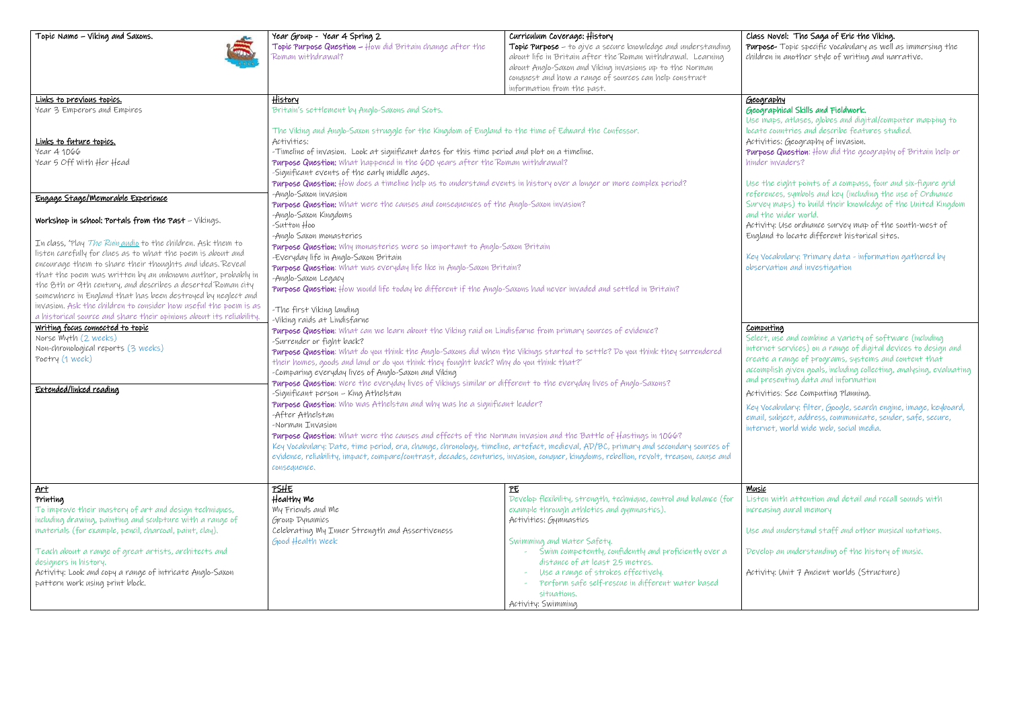| Topic Name - Viking and Saxons.                                                                                                                                                                                                                                                                                                                                                                                                                                                                                                                                                                                                                                                                                                                | Year Group - Year 4 Spring 2<br>Topic Purpose Question - How did Britain change after the<br>Roman withdrawal?                                                                                                                                                                                                                                                                                                                                                                                                                                                                                                                                                                                                                                                                                                                                                                                                                                                                                                                                                                                                                                                                                                                                                                                                                                                                                                                                                                                                                                                                                                                                                                              | Curriculum Coverage: History<br>Topic Purpose – to give a secure knowledge and understanding<br>about life in Britain after the Roman withdrawal. Learning<br>about Anglo-Saxon and Viking invasions up to the Norman<br>conquest and how a range of sources can help construct<br>information from the past.           | Class<br>Purpos<br>childre                                                                                                                                         |
|------------------------------------------------------------------------------------------------------------------------------------------------------------------------------------------------------------------------------------------------------------------------------------------------------------------------------------------------------------------------------------------------------------------------------------------------------------------------------------------------------------------------------------------------------------------------------------------------------------------------------------------------------------------------------------------------------------------------------------------------|---------------------------------------------------------------------------------------------------------------------------------------------------------------------------------------------------------------------------------------------------------------------------------------------------------------------------------------------------------------------------------------------------------------------------------------------------------------------------------------------------------------------------------------------------------------------------------------------------------------------------------------------------------------------------------------------------------------------------------------------------------------------------------------------------------------------------------------------------------------------------------------------------------------------------------------------------------------------------------------------------------------------------------------------------------------------------------------------------------------------------------------------------------------------------------------------------------------------------------------------------------------------------------------------------------------------------------------------------------------------------------------------------------------------------------------------------------------------------------------------------------------------------------------------------------------------------------------------------------------------------------------------------------------------------------------------|-------------------------------------------------------------------------------------------------------------------------------------------------------------------------------------------------------------------------------------------------------------------------------------------------------------------------|--------------------------------------------------------------------------------------------------------------------------------------------------------------------|
| Links to previous topics.<br>Year 3 Emperors and Empires                                                                                                                                                                                                                                                                                                                                                                                                                                                                                                                                                                                                                                                                                       | <u>History</u><br>Britain's settlement by Anglo-Saxons and Scots.                                                                                                                                                                                                                                                                                                                                                                                                                                                                                                                                                                                                                                                                                                                                                                                                                                                                                                                                                                                                                                                                                                                                                                                                                                                                                                                                                                                                                                                                                                                                                                                                                           |                                                                                                                                                                                                                                                                                                                         | <u>Geogr</u><br>Geogr<br>Use m                                                                                                                                     |
| Links to future topics.<br>Year 4 1066<br>Year 5 Off With Her Head                                                                                                                                                                                                                                                                                                                                                                                                                                                                                                                                                                                                                                                                             | The Viking and Anglo-Saxon struggle for the Kingdom of England to the time of Edward the Confessor.<br>Activities:<br>-Timeline of invasion. Look at significant dates for this time period and plot on a timeline.<br>Purpose Question: What happened in the 600 years after the Roman withdrawal?<br>-Significant events of the early middle ages.<br>Purpose Question: How does a timeline help us to understand events in history over a longer or more complex period?                                                                                                                                                                                                                                                                                                                                                                                                                                                                                                                                                                                                                                                                                                                                                                                                                                                                                                                                                                                                                                                                                                                                                                                                                 |                                                                                                                                                                                                                                                                                                                         | locate<br>Activi<br>Purpo:<br>hinder<br>Use tl                                                                                                                     |
| Engage Stage/Memorable Experience                                                                                                                                                                                                                                                                                                                                                                                                                                                                                                                                                                                                                                                                                                              | -Anglo-Saxon invasion                                                                                                                                                                                                                                                                                                                                                                                                                                                                                                                                                                                                                                                                                                                                                                                                                                                                                                                                                                                                                                                                                                                                                                                                                                                                                                                                                                                                                                                                                                                                                                                                                                                                       |                                                                                                                                                                                                                                                                                                                         | refere                                                                                                                                                             |
| Workshop in school: Portals from the Past - Vikings.<br>In class, 'Play The Ruin audio to the children. Ask them to<br>listen carefully for clues as to what the poem is about and<br>encourage them to share their thoughts and ideas. Reveal<br>that the poem was written by an unknown author, probably in<br>the 8th or 9th century, and describes a deserted Roman city<br>somewhere in England that has been destroyed by neglect and<br>invasion. Ask the children to consider how useful the poem is as<br>a historical source and share their opinions about its reliability.<br><u>Writing focus connected to topic</u><br>Norse Myth (2 weeks)<br>Non-chronological reports (3 weeks)<br>Poetry (1 week)<br>Extended/linked reading | Purpose Question: What were the causes and consequences of the Anglo-Saxon invasion?<br>-Anglo-Saxon Kingdoms<br>-Sutton Hoo<br>-Anglo Saxon monasteries<br>Purpose Question: Why monasteries were so important to Anglo-Saxon Britain<br>-Everyday life in Anglo-Saxon Britain<br>Purpose Question: What was everyday life like in Anglo-Saxon Britain?<br>-Anglo-Saxon Legacy<br>Purpose Question: How would life today be different if the Anglo-Saxons had never invaded and settled in Britain?<br>-The first Viking landing<br>-Viking raids at Lindisfarne<br>Purpose Question: What can we learn about the Viking raid on Lindisfarne from primary sources of evidence?<br>-Surrender or fight back?<br>Purpose Question: What do you think the Anglo-Saxons did when the Vikings started to settle? Do you think they surrendered<br>their homes, goods and land or do you think they fought back? Why do you think that?'<br>-Comparing everyday lives of Anglo-Saxon and Viking<br>Purpose Question: Were the everyday lives of Vikings similar or different to the everyday lives of Anglo-Saxons?<br>-Significant person - King Athelstan<br>Purpose Question: Who was Athelstan and why was he a significant leader?<br>-After Athelstan<br>-Norman Invasion<br>Purpose Question: What were the causes and effects of the Norman invasion and the Battle of Hastings in 1066?<br>Key Vocabulary: Date, time period, era, change, chronology, timeline, artefact, medieval, AD/BC, primary and secondary sources of<br>evidence, reliability, impact, compare/contrast, decades, centuries, invasion, conquer, kingdoms, rebellion, revolt, treason, cause and<br>consequence. |                                                                                                                                                                                                                                                                                                                         | Surve<br>$and +b$<br>Activi<br>Englar<br>Key Vo<br>obser<br><u>Compu</u><br>Select<br>intern<br>create<br>accom:<br>and pr<br>Activi<br>Key Vo<br>email,<br>intern |
| Art<br>Printing<br>To improve their mastery of art and design techniques,<br>including drawing, painting and sculpture with a range of<br>materials (for example, pencil, charcoal, paint, clay).<br>Teach about a range of great artists, architects and<br>designers in history.<br>Activity: Look and copy a range of intricate Anglo-Saxon                                                                                                                                                                                                                                                                                                                                                                                                 | <u>PSHE</u><br>Healthy Me<br>My Friends and Me<br>Group Dynamics<br>Celebrating My Inner Strength and Assertiveness<br>Good Health Week                                                                                                                                                                                                                                                                                                                                                                                                                                                                                                                                                                                                                                                                                                                                                                                                                                                                                                                                                                                                                                                                                                                                                                                                                                                                                                                                                                                                                                                                                                                                                     | PE<br>Develop flexibility, strength, technique, control and balance (for<br>example through athletics and gymnastics).<br>Activities: Gymnastics<br>Swimming and Water Safety.<br>Swim competently, confidently and proficiently over a<br>÷.<br>distance of at least 25 metres.<br>Use a range of strokes effectively. | Music<br>Lister<br>increa<br>Use ai<br>Develo<br>Activi                                                                                                            |
| pattern work using print block.                                                                                                                                                                                                                                                                                                                                                                                                                                                                                                                                                                                                                                                                                                                |                                                                                                                                                                                                                                                                                                                                                                                                                                                                                                                                                                                                                                                                                                                                                                                                                                                                                                                                                                                                                                                                                                                                                                                                                                                                                                                                                                                                                                                                                                                                                                                                                                                                                             | Perform safe self-rescue in different water based<br>situations.<br>Activity: Swimming                                                                                                                                                                                                                                  |                                                                                                                                                                    |

## Novel: The Saga of Eric the Viking.

**pose-** Topic specific vocabulary as well as immersing the ren in another style of writing and narrative.

## araphy

graphical Skills and Fieldwork.

.<br>maps, atlases, globes and digital/computer mapping to te countries and describe features studied. vities: Geography of invasion.

 $\delta$ pose Question: How did the geography of Britain help or er invaders?

the eight points of a compass, four and six-figure grid rences, symbols and key (including the use of Ordnance rey maps) to build their knowledge of the United Kingdom the wider world.

 $V$ ity: Use ordnance survey map of the south-west of and to locate different historical sites.

Vocabulary: Primary data - information gathered by rvation and investigation

## <u>puting</u>

ct, use and combine a variety of software (including ruet services) on a range of digital devices to design and te a range of programs, systems and content that mplish given goals, including collecting, analysing, evaluating presenting data and information

vities: See Computing Planning.

Vocabulary: filter, Google, search engine, image, keyboard, l, subject, address, communicate, sender, safe, secure, rnet, world wide web, social media.

en with attention and detail and recall sounds with asing aural memory

and understand staff and other musical notations.

elop an understanding of the history of music.

vity: Unit 7 Ancient worlds (Structure)